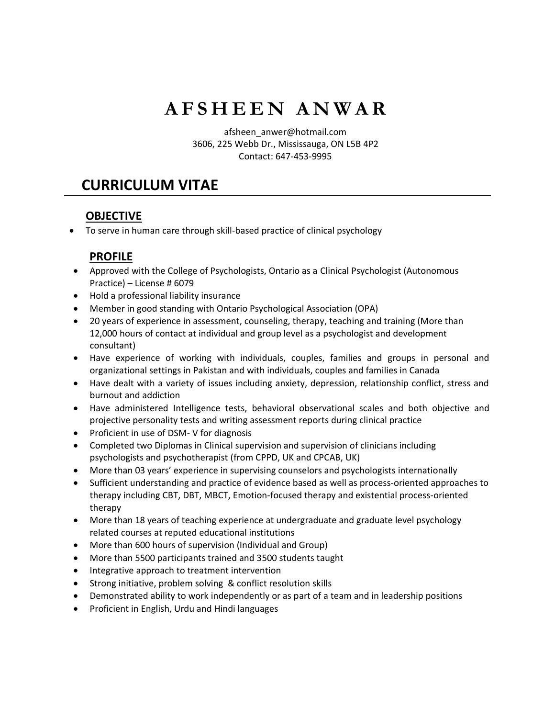# **A F S H E E N A N W A R**

afsheen\_anwer@hotmail.com 3606, 225 Webb Dr., Mississauga, ON L5B 4P2 Contact: 647-453-9995

## **CURRICULUM VITAE**

## **OBJECTIVE**

• To serve in human care through skill-based practice of clinical psychology

#### **PROFILE**

- Approved with the College of Psychologists, Ontario as a Clinical Psychologist (Autonomous Practice) – License # 6079
- Hold a professional liability insurance
- Member in good standing with Ontario Psychological Association (OPA)
- 20 years of experience in assessment, counseling, therapy, teaching and training (More than 12,000 hours of contact at individual and group level as a psychologist and development consultant)
- Have experience of working with individuals, couples, families and groups in personal and organizational settings in Pakistan and with individuals, couples and families in Canada
- Have dealt with a variety of issues including anxiety, depression, relationship conflict, stress and burnout and addiction
- Have administered Intelligence tests, behavioral observational scales and both objective and projective personality tests and writing assessment reports during clinical practice
- Proficient in use of DSM- V for diagnosis
- Completed two Diplomas in Clinical supervision and supervision of clinicians including psychologists and psychotherapist (from CPPD, UK and CPCAB, UK)
- More than 03 years' experience in supervising counselors and psychologists internationally
- Sufficient understanding and practice of evidence based as well as process-oriented approaches to therapy including CBT, DBT, MBCT, Emotion-focused therapy and existential process-oriented therapy
- More than 18 years of teaching experience at undergraduate and graduate level psychology related courses at reputed educational institutions
- More than 600 hours of supervision (Individual and Group)
- More than 5500 participants trained and 3500 students taught
- Integrative approach to treatment intervention
- Strong initiative, problem solving & conflict resolution skills
- Demonstrated ability to work independently or as part of a team and in leadership positions
- Proficient in English, Urdu and Hindi languages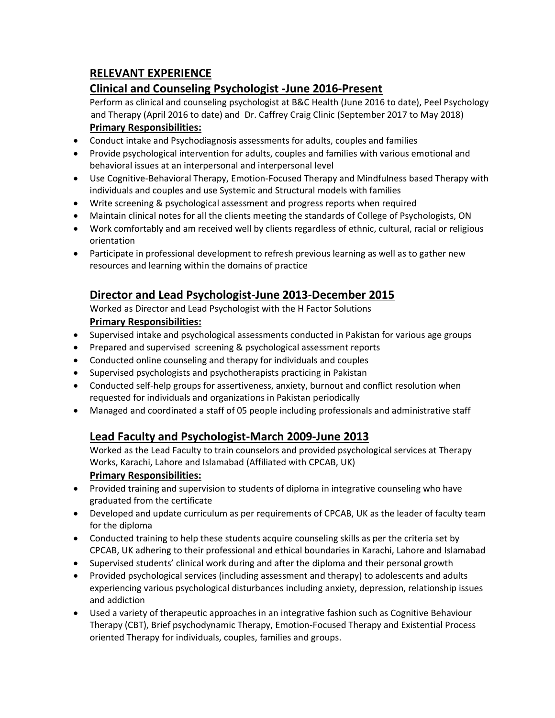## **RELEVANT EXPERIENCE**

### **Clinical and Counseling Psychologist -June 2016-Present**

Perform as clinical and counseling psychologist at B&C Health (June 2016 to date), Peel Psychology and Therapy (April 2016 to date) and Dr. Caffrey Craig Clinic (September 2017 to May 2018) **Primary Responsibilities:**

- Conduct intake and Psychodiagnosis assessments for adults, couples and families
- Provide psychological intervention for adults, couples and families with various emotional and behavioral issues at an interpersonal and interpersonal level
- Use Cognitive-Behavioral Therapy, Emotion-Focused Therapy and Mindfulness based Therapy with individuals and couples and use Systemic and Structural models with families
- Write screening & psychological assessment and progress reports when required
- Maintain clinical notes for all the clients meeting the standards of College of Psychologists, ON
- Work comfortably and am received well by clients regardless of ethnic, cultural, racial or religious orientation
- Participate in professional development to refresh previous learning as well as to gather new resources and learning within the domains of practice

## **Director and Lead Psychologist-June 2013-December 2015**

Worked as Director and Lead Psychologist with the H Factor Solutions **Primary Responsibilities:**

- Supervised intake and psychological assessments conducted in Pakistan for various age groups
- Prepared and supervised screening & psychological assessment reports
- Conducted online counseling and therapy for individuals and couples
- Supervised psychologists and psychotherapists practicing in Pakistan
- Conducted self-help groups for assertiveness, anxiety, burnout and conflict resolution when requested for individuals and organizations in Pakistan periodically
- Managed and coordinated a staff of 05 people including professionals and administrative staff

#### **Lead Faculty and Psychologist-March 2009-June 2013**

Worked as the Lead Faculty to train counselors and provided psychological services at Therapy Works, Karachi, Lahore and Islamabad (Affiliated with CPCAB, UK)

#### **Primary Responsibilities:**

- Provided training and supervision to students of diploma in integrative counseling who have graduated from the certificate
- Developed and update curriculum as per requirements of CPCAB, UK as the leader of faculty team for the diploma
- Conducted training to help these students acquire counseling skills as per the criteria set by CPCAB, UK adhering to their professional and ethical boundaries in Karachi, Lahore and Islamabad
- Supervised students' clinical work during and after the diploma and their personal growth
- Provided psychological services (including assessment and therapy) to adolescents and adults experiencing various psychological disturbances including anxiety, depression, relationship issues and addiction
- Used a variety of therapeutic approaches in an integrative fashion such as Cognitive Behaviour Therapy (CBT), Brief psychodynamic Therapy, Emotion-Focused Therapy and Existential Process oriented Therapy for individuals, couples, families and groups.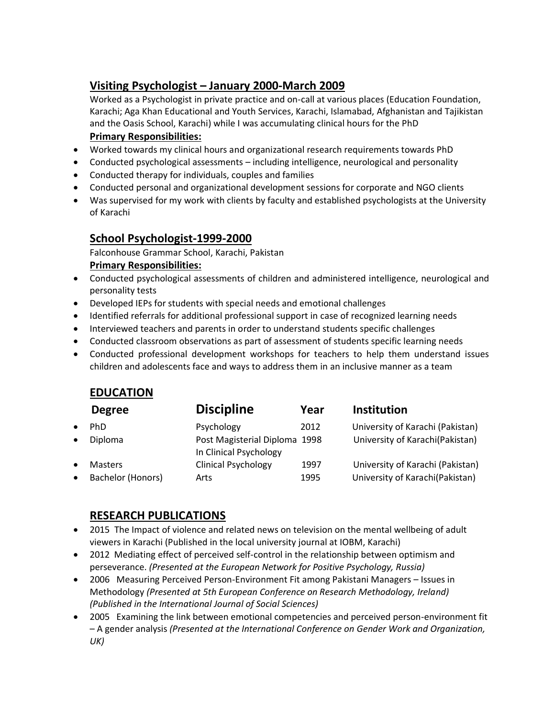## **Visiting Psychologist – January 2000-March 2009**

Worked as a Psychologist in private practice and on-call at various places (Education Foundation, Karachi; Aga Khan Educational and Youth Services, Karachi, Islamabad, Afghanistan and Tajikistan and the Oasis School, Karachi) while I was accumulating clinical hours for the PhD

#### **Primary Responsibilities:**

- Worked towards my clinical hours and organizational research requirements towards PhD
- Conducted psychological assessments including intelligence, neurological and personality
- Conducted therapy for individuals, couples and families
- Conducted personal and organizational development sessions for corporate and NGO clients
- Was supervised for my work with clients by faculty and established psychologists at the University of Karachi

#### **School Psychologist-1999-2000**

Falconhouse Grammar School, Karachi, Pakistan

#### **Primary Responsibilities:**

- Conducted psychological assessments of children and administered intelligence, neurological and personality tests
- Developed IEPs for students with special needs and emotional challenges
- Identified referrals for additional professional support in case of recognized learning needs
- Interviewed teachers and parents in order to understand students specific challenges
- Conducted classroom observations as part of assessment of students specific learning needs
- Conducted professional development workshops for teachers to help them understand issues children and adolescents face and ways to address them in an inclusive manner as a team

#### **EDUCATION**

| <b>Degree</b>     | <b>Discipline</b>                                       | Year | <b>Institution</b>               |
|-------------------|---------------------------------------------------------|------|----------------------------------|
| PhD               | Psychology                                              | 2012 | University of Karachi (Pakistan) |
| Diploma           | Post Magisterial Diploma 1998<br>In Clinical Psychology |      | University of Karachi(Pakistan)  |
| <b>Masters</b>    | <b>Clinical Psychology</b>                              | 1997 | University of Karachi (Pakistan) |
| Bachelor (Honors) | Arts                                                    | 1995 | University of Karachi(Pakistan)  |

#### **RESEARCH PUBLICATIONS**

- 2015 The Impact of violence and related news on television on the mental wellbeing of adult viewers in Karachi (Published in the local university journal at IOBM, Karachi)
- 2012 Mediating effect of perceived self-control in the relationship between optimism and perseverance. *(Presented at the European Network for Positive Psychology, Russia)*
- 2006 Measuring Perceived Person-Environment Fit among Pakistani Managers Issues in Methodology *(Presented at 5th European Conference on Research Methodology, Ireland) (Published in the International Journal of Social Sciences)*
- 2005 Examining the link between emotional competencies and perceived person-environment fit – A gender analysis *(Presented at the International Conference on Gender Work and Organization, UK)*